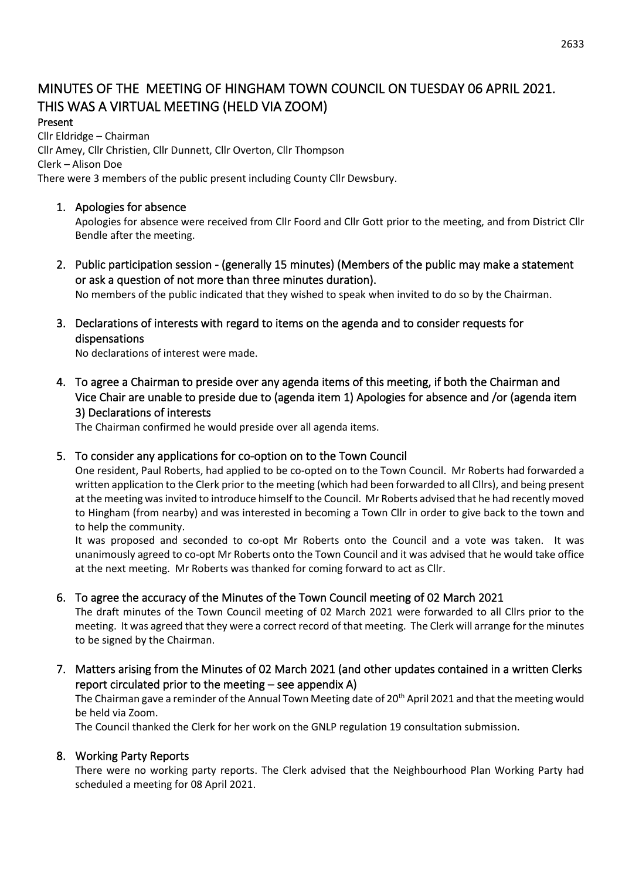# MINUTES OF THE MEETING OF HINGHAM TOWN COUNCIL ON TUESDAY 06 APRIL 2021. THIS WAS A VIRTUAL MEETING (HELD VIA ZOOM)

#### Present

Cllr Eldridge – Chairman Cllr Amey, Cllr Christien, Cllr Dunnett, Cllr Overton, Cllr Thompson Clerk – Alison Doe There were 3 members of the public present including County Cllr Dewsbury.

#### 1. Apologies for absence

Apologies for absence were received from Cllr Foord and Cllr Gott prior to the meeting, and from District Cllr Bendle after the meeting.

2. Public participation session - (generally 15 minutes) (Members of the public may make a statement or ask a question of not more than three minutes duration).

No members of the public indicated that they wished to speak when invited to do so by the Chairman.

3. Declarations of interests with regard to items on the agenda and to consider requests for dispensations

No declarations of interest were made.

4. To agree a Chairman to preside over any agenda items of this meeting, if both the Chairman and Vice Chair are unable to preside due to (agenda item 1) Apologies for absence and /or (agenda item 3) Declarations of interests

The Chairman confirmed he would preside over all agenda items.

# 5. To consider any applications for co-option on to the Town Council

One resident, Paul Roberts, had applied to be co-opted on to the Town Council. Mr Roberts had forwarded a written application to the Clerk prior to the meeting (which had been forwarded to all Cllrs), and being present at the meeting was invited to introduce himself to the Council. Mr Roberts advised that he had recently moved to Hingham (from nearby) and was interested in becoming a Town Cllr in order to give back to the town and to help the community.

It was proposed and seconded to co-opt Mr Roberts onto the Council and a vote was taken. It was unanimously agreed to co-opt Mr Roberts onto the Town Council and it was advised that he would take office at the next meeting. Mr Roberts was thanked for coming forward to act as Cllr.

# 6. To agree the accuracy of the Minutes of the Town Council meeting of 02 March 2021

The draft minutes of the Town Council meeting of 02 March 2021 were forwarded to all Cllrs prior to the meeting. It was agreed that they were a correct record of that meeting. The Clerk will arrange for the minutes to be signed by the Chairman.

7. Matters arising from the Minutes of 02 March 2021 (and other updates contained in a written Clerks report circulated prior to the meeting – see appendix A)

The Chairman gave a reminder of the Annual Town Meeting date of 20<sup>th</sup> April 2021 and that the meeting would be held via Zoom.

The Council thanked the Clerk for her work on the GNLP regulation 19 consultation submission.

# 8. Working Party Reports

There were no working party reports. The Clerk advised that the Neighbourhood Plan Working Party had scheduled a meeting for 08 April 2021.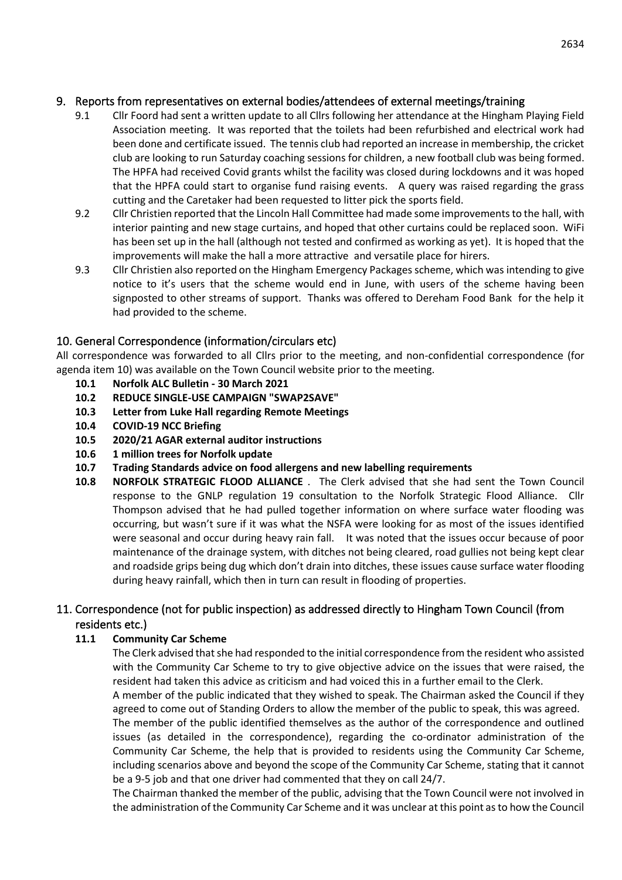# 9. Reports from representatives on external bodies/attendees of external meetings/training

- 9.1 Cllr Foord had sent a written update to all Cllrs following her attendance at the Hingham Playing Field Association meeting. It was reported that the toilets had been refurbished and electrical work had been done and certificate issued. The tennis club had reported an increase in membership, the cricket club are looking to run Saturday coaching sessions for children, a new football club was being formed. The HPFA had received Covid grants whilst the facility was closed during lockdowns and it was hoped that the HPFA could start to organise fund raising events. A query was raised regarding the grass cutting and the Caretaker had been requested to litter pick the sports field.
- 9.2 Cllr Christien reported that the Lincoln Hall Committee had made some improvements to the hall, with interior painting and new stage curtains, and hoped that other curtains could be replaced soon. WiFi has been set up in the hall (although not tested and confirmed as working as yet). It is hoped that the improvements will make the hall a more attractive and versatile place for hirers.
- 9.3 Cllr Christien also reported on the Hingham Emergency Packages scheme, which was intending to give notice to it's users that the scheme would end in June, with users of the scheme having been signposted to other streams of support. Thanks was offered to Dereham Food Bank for the help it had provided to the scheme.

# 10. General Correspondence (information/circulars etc)

All correspondence was forwarded to all Cllrs prior to the meeting, and non-confidential correspondence (for agenda item 10) was available on the Town Council website prior to the meeting.

- **10.1 Norfolk ALC Bulletin - 30 March 2021**
- **10.2 REDUCE SINGLE-USE CAMPAIGN "SWAP2SAVE"**
- **10.3 Letter from Luke Hall regarding Remote Meetings**
- **10.4 COVID-19 NCC Briefing**
- **10.5 2020/21 AGAR external auditor instructions**
- **10.6 1 million trees for Norfolk update**
- **10.7 Trading Standards advice on food allergens and new labelling requirements**
- **10.8 NORFOLK STRATEGIC FLOOD ALLIANCE** . The Clerk advised that she had sent the Town Council response to the GNLP regulation 19 consultation to the Norfolk Strategic Flood Alliance. Cllr Thompson advised that he had pulled together information on where surface water flooding was occurring, but wasn't sure if it was what the NSFA were looking for as most of the issues identified were seasonal and occur during heavy rain fall. It was noted that the issues occur because of poor maintenance of the drainage system, with ditches not being cleared, road gullies not being kept clear and roadside grips being dug which don't drain into ditches, these issues cause surface water flooding during heavy rainfall, which then in turn can result in flooding of properties.

# 11. Correspondence (not for public inspection) as addressed directly to Hingham Town Council (from residents etc.)

#### **11.1 Community Car Scheme**

The Clerk advised that she had responded to the initial correspondence from the resident who assisted with the Community Car Scheme to try to give objective advice on the issues that were raised, the resident had taken this advice as criticism and had voiced this in a further email to the Clerk.

A member of the public indicated that they wished to speak. The Chairman asked the Council if they agreed to come out of Standing Orders to allow the member of the public to speak, this was agreed.

The member of the public identified themselves as the author of the correspondence and outlined issues (as detailed in the correspondence), regarding the co-ordinator administration of the Community Car Scheme, the help that is provided to residents using the Community Car Scheme, including scenarios above and beyond the scope of the Community Car Scheme, stating that it cannot be a 9-5 job and that one driver had commented that they on call 24/7.

The Chairman thanked the member of the public, advising that the Town Council were not involved in the administration of the Community Car Scheme and it was unclear at this point as to how the Council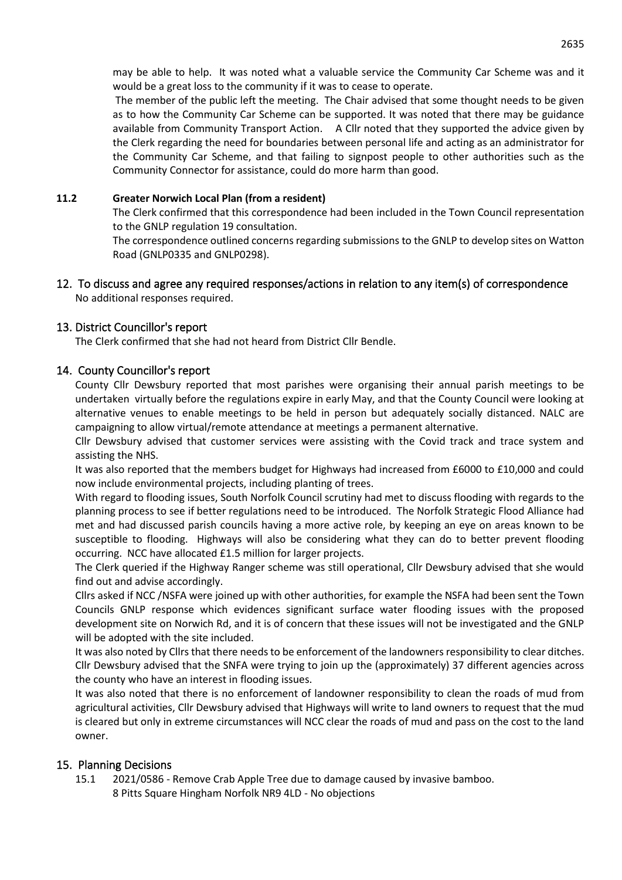may be able to help. It was noted what a valuable service the Community Car Scheme was and it would be a great loss to the community if it was to cease to operate.

The member of the public left the meeting. The Chair advised that some thought needs to be given as to how the Community Car Scheme can be supported. It was noted that there may be guidance available from Community Transport Action. A Cllr noted that they supported the advice given by the Clerk regarding the need for boundaries between personal life and acting as an administrator for the Community Car Scheme, and that failing to signpost people to other authorities such as the Community Connector for assistance, could do more harm than good.

#### **11.2 Greater Norwich Local Plan (from a resident)**

The Clerk confirmed that this correspondence had been included in the Town Council representation to the GNLP regulation 19 consultation.

The correspondence outlined concerns regarding submissions to the GNLP to develop sites on Watton Road (GNLP0335 and GNLP0298).

#### 12. To discuss and agree any required responses/actions in relation to any item(s) of correspondence No additional responses required.

#### 13. District Councillor's report

The Clerk confirmed that she had not heard from District Cllr Bendle.

#### 14. County Councillor's report

County Cllr Dewsbury reported that most parishes were organising their annual parish meetings to be undertaken virtually before the regulations expire in early May, and that the County Council were looking at alternative venues to enable meetings to be held in person but adequately socially distanced. NALC are campaigning to allow virtual/remote attendance at meetings a permanent alternative.

Cllr Dewsbury advised that customer services were assisting with the Covid track and trace system and assisting the NHS.

It was also reported that the members budget for Highways had increased from £6000 to £10,000 and could now include environmental projects, including planting of trees.

With regard to flooding issues, South Norfolk Council scrutiny had met to discuss flooding with regards to the planning process to see if better regulations need to be introduced. The Norfolk Strategic Flood Alliance had met and had discussed parish councils having a more active role, by keeping an eye on areas known to be susceptible to flooding. Highways will also be considering what they can do to better prevent flooding occurring. NCC have allocated £1.5 million for larger projects.

The Clerk queried if the Highway Ranger scheme was still operational, Cllr Dewsbury advised that she would find out and advise accordingly.

Cllrs asked if NCC /NSFA were joined up with other authorities, for example the NSFA had been sent the Town Councils GNLP response which evidences significant surface water flooding issues with the proposed development site on Norwich Rd, and it is of concern that these issues will not be investigated and the GNLP will be adopted with the site included.

It was also noted by Cllrs that there needs to be enforcement of the landowners responsibility to clear ditches. Cllr Dewsbury advised that the SNFA were trying to join up the (approximately) 37 different agencies across the county who have an interest in flooding issues.

It was also noted that there is no enforcement of landowner responsibility to clean the roads of mud from agricultural activities, Cllr Dewsbury advised that Highways will write to land owners to request that the mud is cleared but only in extreme circumstances will NCC clear the roads of mud and pass on the cost to the land owner.

#### 15. Planning Decisions

15.1 2021/0586 - Remove Crab Apple Tree due to damage caused by invasive bamboo. 8 Pitts Square Hingham Norfolk NR9 4LD - No objections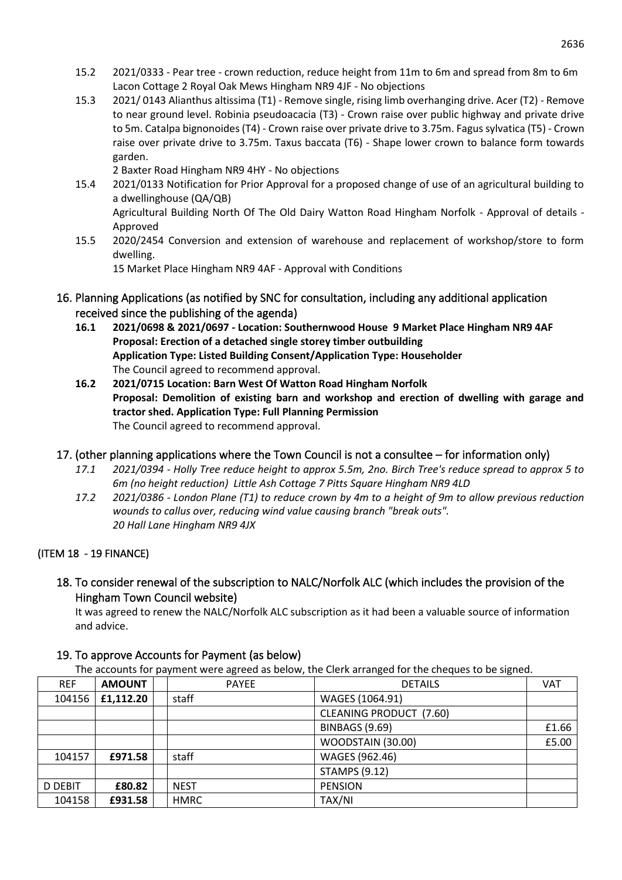- 15.2 2021/0333 Pear tree crown reduction, reduce height from 11m to 6m and spread from 8m to 6m Lacon Cottage 2 Royal Oak Mews Hingham NR9 4JF - No objections
- 15.3 2021/ 0143 Alianthus altissima (T1) Remove single, rising limb overhanging drive. Acer (T2) Remove to near ground level. Robinia pseudoacacia (T3) - Crown raise over public highway and private drive to 5m. Catalpa bignonoides (T4) - Crown raise over private drive to 3.75m. Fagus sylvatica (T5) - Crown raise over private drive to 3.75m. Taxus baccata (T6) - Shape lower crown to balance form towards garden.

2 Baxter Road Hingham NR9 4HY - No objections

- 15.4 2021/0133 Notification for Prior Approval for a proposed change of use of an agricultural building to a dwellinghouse (QA/QB) Agricultural Building North Of The Old Dairy Watton Road Hingham Norfolk - Approval of details - Approved
- 15.5 2020/2454 Conversion and extension of warehouse and replacement of workshop/store to form dwelling.

15 Market Place Hingham NR9 4AF - Approval with Conditions

- 16. Planning Applications (as notified by SNC for consultation, including any additional application received since the publishing of the agenda)
	- **16.1 2021/0698 & 2021/0697 - Location: Southernwood House 9 Market Place Hingham NR9 4AF Proposal: Erection of a detached single storey timber outbuilding Application Type: Listed Building Consent/Application Type: Householder** The Council agreed to recommend approval.
	- **16.2 2021/0715 Location: Barn West Of Watton Road Hingham Norfolk Proposal: Demolition of existing barn and workshop and erection of dwelling with garage and tractor shed. Application Type: Full Planning Permission** The Council agreed to recommend approval.

# 17. (other planning applications where the Town Council is not a consultee – for information only)

- *17.1 2021/0394 - Holly Tree reduce height to approx 5.5m, 2no. Birch Tree's reduce spread to approx 5 to 6m (no height reduction) Little Ash Cottage 7 Pitts Square Hingham NR9 4LD*
- *17.2 2021/0386 - London Plane (T1) to reduce crown by 4m to a height of 9m to allow previous reduction wounds to callus over, reducing wind value causing branch "break outs". 20 Hall Lane Hingham NR9 4JX*

#### (ITEM 18 - 19 FINANCE)

18. To consider renewal of the subscription to NALC/Norfolk ALC (which includes the provision of the Hingham Town Council website)

It was agreed to renew the NALC/Norfolk ALC subscription as it had been a valuable source of information and advice.

| The accounts for payment were agreed as below, the Clerk arranged for the cheques to be signed. |               |  |              |                         |            |  |  |  |
|-------------------------------------------------------------------------------------------------|---------------|--|--------------|-------------------------|------------|--|--|--|
| <b>REF</b>                                                                                      | <b>AMOUNT</b> |  | <b>PAYEE</b> | <b>DETAILS</b>          | <b>VAT</b> |  |  |  |
| 104156                                                                                          | £1.112.20     |  | staff        | WAGES (1064.91)         |            |  |  |  |
|                                                                                                 |               |  |              | CLEANING PRODUCT (7.60) |            |  |  |  |
|                                                                                                 |               |  |              | <b>BINBAGS (9.69)</b>   | £1.66      |  |  |  |
|                                                                                                 |               |  |              | WOODSTAIN (30.00)       | £5.00      |  |  |  |
| 104157                                                                                          | £971.58       |  | staff        | WAGES (962.46)          |            |  |  |  |
|                                                                                                 |               |  |              | <b>STAMPS (9.12)</b>    |            |  |  |  |
| <b>D DEBIT</b>                                                                                  | £80.82        |  | <b>NEST</b>  | <b>PENSION</b>          |            |  |  |  |
| 104158                                                                                          | £931.58       |  | <b>HMRC</b>  | TAX/NI                  |            |  |  |  |

# 19. To approve Accounts for Payment (as below)

The accounts for payment were agreed as below, the Clerk arranged for the cheques to be signed.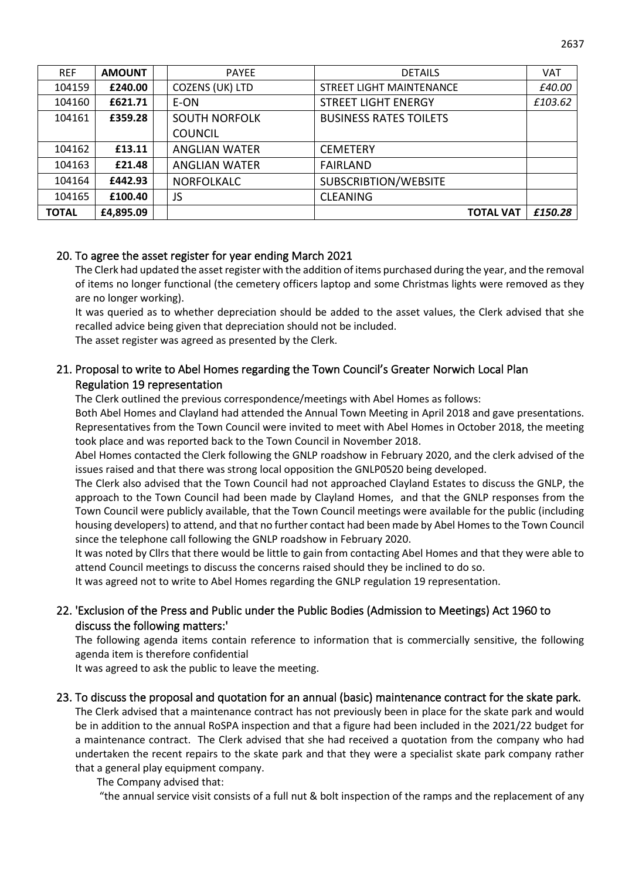| <b>REF</b>   | <b>AMOUNT</b> | <b>PAYEE</b>         | <b>DETAILS</b>                | VAT     |
|--------------|---------------|----------------------|-------------------------------|---------|
| 104159       | £240.00       | COZENS (UK) LTD      | STREET LIGHT MAINTENANCE      | £40.00  |
| 104160       | £621.71       | E-ON                 | <b>STREET LIGHT ENERGY</b>    | £103.62 |
| 104161       | £359.28       | <b>SOUTH NORFOLK</b> | <b>BUSINESS RATES TOILETS</b> |         |
|              |               | <b>COUNCIL</b>       |                               |         |
| 104162       | £13.11        | <b>ANGLIAN WATER</b> | <b>CEMETERY</b>               |         |
| 104163       | £21.48        | <b>ANGLIAN WATER</b> | <b>FAIRLAND</b>               |         |
| 104164       | £442.93       | <b>NORFOLKALC</b>    | SUBSCRIBTION/WEBSITE          |         |
| 104165       | £100.40       | JS                   | <b>CLEANING</b>               |         |
| <b>TOTAL</b> | £4,895.09     |                      | <b>TOTAL VAT</b>              | £150.28 |

#### 20. To agree the asset register for year ending March 2021

The Clerk had updated the asset register with the addition of items purchased during the year, and the removal of items no longer functional (the cemetery officers laptop and some Christmas lights were removed as they are no longer working).

It was queried as to whether depreciation should be added to the asset values, the Clerk advised that she recalled advice being given that depreciation should not be included.

The asset register was agreed as presented by the Clerk.

# 21. Proposal to write to Abel Homes regarding the Town Council's Greater Norwich Local Plan Regulation 19 representation

The Clerk outlined the previous correspondence/meetings with Abel Homes as follows:

Both Abel Homes and Clayland had attended the Annual Town Meeting in April 2018 and gave presentations. Representatives from the Town Council were invited to meet with Abel Homes in October 2018, the meeting took place and was reported back to the Town Council in November 2018.

Abel Homes contacted the Clerk following the GNLP roadshow in February 2020, and the clerk advised of the issues raised and that there was strong local opposition the GNLP0520 being developed.

The Clerk also advised that the Town Council had not approached Clayland Estates to discuss the GNLP, the approach to the Town Council had been made by Clayland Homes, and that the GNLP responses from the Town Council were publicly available, that the Town Council meetings were available for the public (including housing developers) to attend, and that no further contact had been made by Abel Homes to the Town Council since the telephone call following the GNLP roadshow in February 2020.

It was noted by Cllrs that there would be little to gain from contacting Abel Homes and that they were able to attend Council meetings to discuss the concerns raised should they be inclined to do so.

It was agreed not to write to Abel Homes regarding the GNLP regulation 19 representation.

# 22. 'Exclusion of the Press and Public under the Public Bodies (Admission to Meetings) Act 1960 to discuss the following matters:'

The following agenda items contain reference to information that is commercially sensitive, the following agenda item is therefore confidential

It was agreed to ask the public to leave the meeting.

#### 23. To discuss the proposal and quotation for an annual (basic) maintenance contract for the skate park.

The Clerk advised that a maintenance contract has not previously been in place for the skate park and would be in addition to the annual RoSPA inspection and that a figure had been included in the 2021/22 budget for a maintenance contract. The Clerk advised that she had received a quotation from the company who had undertaken the recent repairs to the skate park and that they were a specialist skate park company rather that a general play equipment company.

The Company advised that:

"the annual service visit consists of a full nut & bolt inspection of the ramps and the replacement of any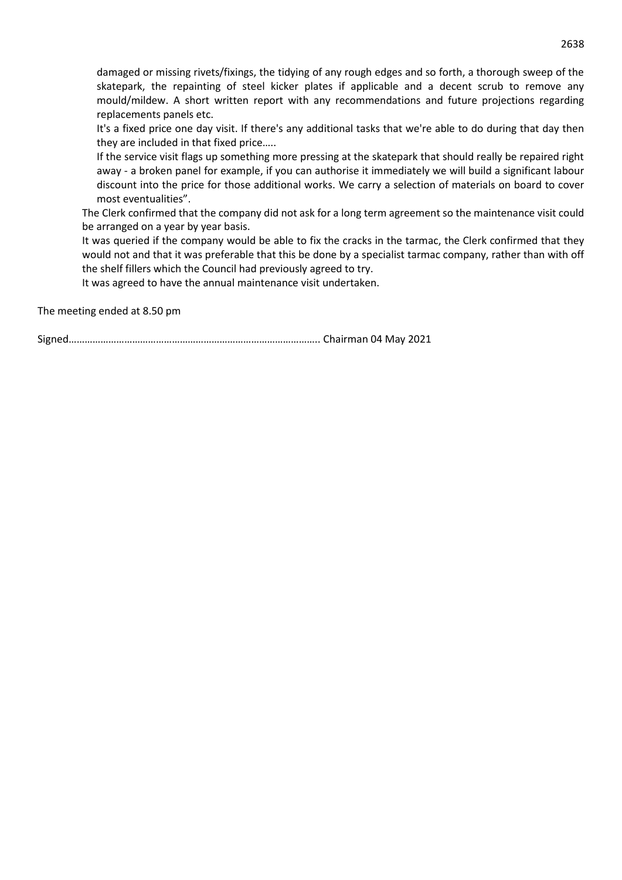damaged or missing rivets/fixings, the tidying of any rough edges and so forth, a thorough sweep of the skatepark, the repainting of steel kicker plates if applicable and a decent scrub to remove any mould/mildew. A short written report with any recommendations and future projections regarding replacements panels etc.

It's a fixed price one day visit. If there's any additional tasks that we're able to do during that day then they are included in that fixed price…..

If the service visit flags up something more pressing at the skatepark that should really be repaired right away - a broken panel for example, if you can authorise it immediately we will build a significant labour discount into the price for those additional works. We carry a selection of materials on board to cover most eventualities".

The Clerk confirmed that the company did not ask for a long term agreement so the maintenance visit could be arranged on a year by year basis.

It was queried if the company would be able to fix the cracks in the tarmac, the Clerk confirmed that they would not and that it was preferable that this be done by a specialist tarmac company, rather than with off the shelf fillers which the Council had previously agreed to try.

It was agreed to have the annual maintenance visit undertaken.

The meeting ended at 8.50 pm

Signed………………………………………………………………………………….. Chairman 04 May 2021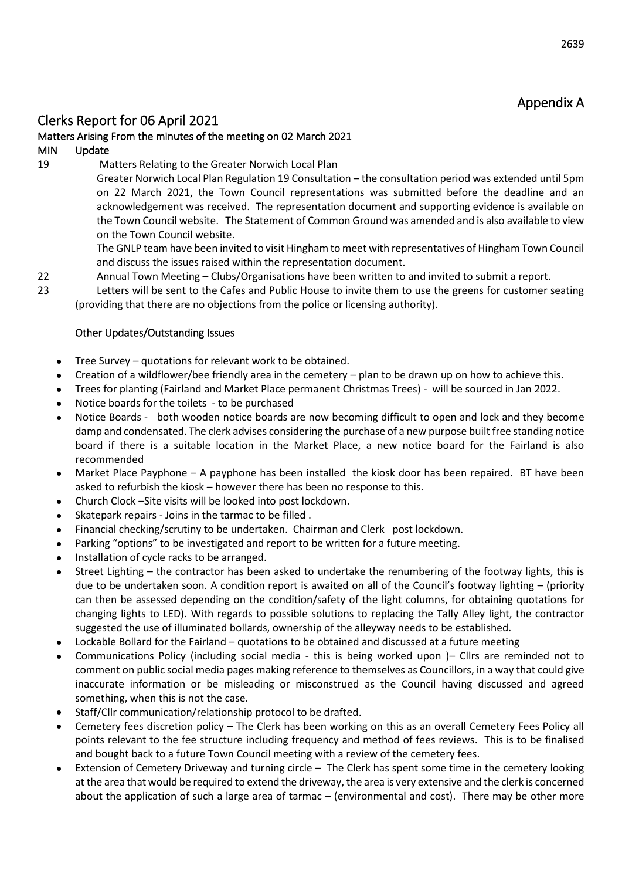# Appendix A

2639

# Clerks Report for 06 April 2021

#### Matters Arising From the minutes of the meeting on 02 March 2021

#### MIN Update

19 Matters Relating to the Greater Norwich Local Plan

Greater Norwich Local Plan Regulation 19 Consultation – the consultation period was extended until 5pm on 22 March 2021, the Town Council representations was submitted before the deadline and an acknowledgement was received. The representation document and supporting evidence is available on the Town Council website. The Statement of Common Ground was amended and is also available to view on the Town Council website.

The GNLP team have been invited to visit Hingham to meet with representatives of Hingham Town Council and discuss the issues raised within the representation document.

- 22 Annual Town Meeting Clubs/Organisations have been written to and invited to submit a report.
- 23 Letters will be sent to the Cafes and Public House to invite them to use the greens for customer seating (providing that there are no objections from the police or licensing authority).

#### Other Updates/Outstanding Issues

- Tree Survey quotations for relevant work to be obtained.
- Creation of a wildflower/bee friendly area in the cemetery plan to be drawn up on how to achieve this.
- Trees for planting (Fairland and Market Place permanent Christmas Trees) will be sourced in Jan 2022.
- Notice boards for the toilets to be purchased
- Notice Boards both wooden notice boards are now becoming difficult to open and lock and they become damp and condensated. The clerk advises considering the purchase of a new purpose built free standing notice board if there is a suitable location in the Market Place, a new notice board for the Fairland is also recommended
- Market Place Payphone A payphone has been installed the kiosk door has been repaired. BT have been asked to refurbish the kiosk – however there has been no response to this.
- Church Clock –Site visits will be looked into post lockdown.
- Skatepark repairs Joins in the tarmac to be filled .
- Financial checking/scrutiny to be undertaken. Chairman and Clerk post lockdown.
- Parking "options" to be investigated and report to be written for a future meeting.
- Installation of cycle racks to be arranged.
- Street Lighting the contractor has been asked to undertake the renumbering of the footway lights, this is due to be undertaken soon. A condition report is awaited on all of the Council's footway lighting – (priority can then be assessed depending on the condition/safety of the light columns, for obtaining quotations for changing lights to LED). With regards to possible solutions to replacing the Tally Alley light, the contractor suggested the use of illuminated bollards, ownership of the alleyway needs to be established.
- Lockable Bollard for the Fairland quotations to be obtained and discussed at a future meeting
- Communications Policy (including social media this is being worked upon )– Cllrs are reminded not to comment on public social media pages making reference to themselves as Councillors, in a way that could give inaccurate information or be misleading or misconstrued as the Council having discussed and agreed something, when this is not the case.
- Staff/Cllr communication/relationship protocol to be drafted.
- Cemetery fees discretion policy The Clerk has been working on this as an overall Cemetery Fees Policy all points relevant to the fee structure including frequency and method of fees reviews. This is to be finalised and bought back to a future Town Council meeting with a review of the cemetery fees.
- Extension of Cemetery Driveway and turning circle The Clerk has spent some time in the cemetery looking at the area that would be required to extend the driveway, the area is very extensive and the clerk is concerned about the application of such a large area of tarmac – (environmental and cost). There may be other more